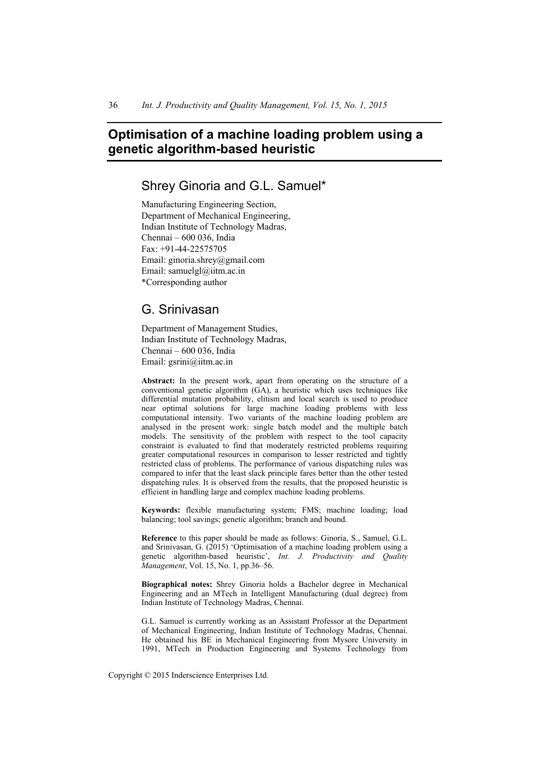# **Optimisation of a machine loading problem using a genetic algorithm-based heuristic**

## Shrey Ginoria and G.L. Samuel\*

Manufacturing Engineering Section, Department of Mechanical Engineering, Indian Institute of Technology Madras, Chennai – 600 036, India Fax: +91-44-22575705 Email: ginoria.shrey@gmail.com Email: samuelgl@iitm.ac.in \*Corresponding author

## G. Srinivasan

Department of Management Studies, Indian Institute of Technology Madras, Chennai – 600 036, India Email: gsrini@iitm.ac.in

**Abstract:** In the present work, apart from operating on the structure of a conventional genetic algorithm (GA), a heuristic which uses techniques like differential mutation probability, elitism and local search is used to produce near optimal solutions for large machine loading problems with less computational intensity. Two variants of the machine loading problem are analysed in the present work: single batch model and the multiple batch models. The sensitivity of the problem with respect to the tool capacity constraint is evaluated to find that moderately restricted problems requiring greater computational resources in comparison to lesser restricted and tightly restricted class of problems. The performance of various dispatching rules was compared to infer that the least slack principle fares better than the other tested dispatching rules. It is observed from the results, that the proposed heuristic is efficient in handling large and complex machine loading problems.

**Keywords:** flexible manufacturing system; FMS; machine loading; load balancing; tool savings; genetic algorithm; branch and bound.

**Reference** to this paper should be made as follows: Ginoria, S., Samuel, G.L. and Srinivasan, G. (2015) 'Optimisation of a machine loading problem using a genetic algorithm-based heuristic', *Int. J. Productivity and Quality Management*, Vol. 15, No. 1, pp.36–56.

**Biographical notes:** Shrey Ginoria holds a Bachelor degree in Mechanical Engineering and an MTech in Intelligent Manufacturing (dual degree) from Indian Institute of Technology Madras, Chennai.

G.L. Samuel is currently working as an Assistant Professor at the Department of Mechanical Engineering, Indian Institute of Technology Madras, Chennai. He obtained his BE in Mechanical Engineering from Mysore University in 1991, MTech in Production Engineering and Systems Technology from

Copyright © 2015 Inderscience Enterprises Ltd.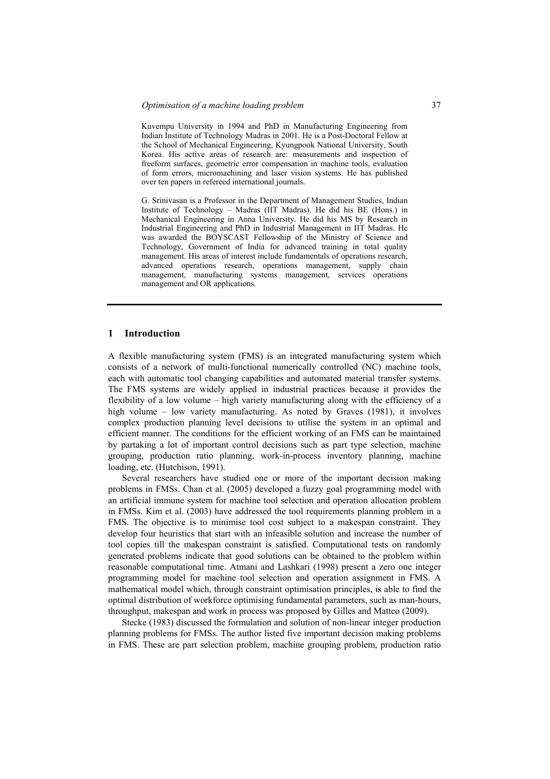Kuvempu University in 1994 and PhD in Manufacturing Engineering from Indian Institute of Technology Madras in 2001. He is a Post-Doctoral Fellow at the School of Mechanical Engineering, Kyungpook National University, South Korea. His active areas of research are: measurements and inspection of freeform surfaces, geometric error compensation in machine tools, evaluation of form errors, micromachining and laser vision systems. He has published over ten papers in refereed international journals.

G. Srinivasan is a Professor in the Department of Management Studies, Indian Institute of Technology – Madras (IIT Madras). He did his BE (Hons.) in Mechanical Engineering in Anna University. He did his MS by Research in Industrial Engineering and PhD in Industrial Management in IIT Madras. He was awarded the BOYSCAST Fellowship of the Ministry of Science and Technology, Government of India for advanced training in total quality management. His areas of interest include fundamentals of operations research, advanced operations research, operations management, supply chain management, manufacturing systems management, services operations management and OR applications.

## **1 Introduction**

A flexible manufacturing system (FMS) is an integrated manufacturing system which consists of a network of multi-functional numerically controlled (NC) machine tools, each with automatic tool changing capabilities and automated material transfer systems. The FMS systems are widely applied in industrial practices because it provides the flexibility of a low volume – high variety manufacturing along with the efficiency of a high volume – low variety manufacturing. As noted by Graves (1981), it involves complex production planning level decisions to utilise the system in an optimal and efficient manner. The conditions for the efficient working of an FMS can be maintained by partaking a lot of important control decisions such as part type selection, machine grouping, production ratio planning, work-in-process inventory planning, machine loading, etc. (Hutchison, 1991).

Several researchers have studied one or more of the important decision making problems in FMSs. Chan et al. (2005) developed a fuzzy goal programming model with an artificial immune system for machine tool selection and operation allocation problem in FMSs. Kim et al. (2003) have addressed the tool requirements planning problem in a FMS. The objective is to minimise tool cost subject to a makespan constraint. They develop four heuristics that start with an infeasible solution and increase the number of tool copies till the makespan constraint is satisfied. Computational tests on randomly generated problems indicate that good solutions can be obtained to the problem within reasonable computational time. Atmani and Lashkari (1998) present a zero one integer programming model for machine tool selection and operation assignment in FMS. A mathematical model which, through constraint optimisation principles, is able to find the optimal distribution of workforce optimising fundamental parameters, such as man-hours, throughput, makespan and work in process was proposed by Gilles and Matteo (2009).

Stecke (1983) discussed the formulation and solution of non-linear integer production planning problems for FMSs. The author listed five important decision making problems in FMS. These are part selection problem, machine grouping problem, production ratio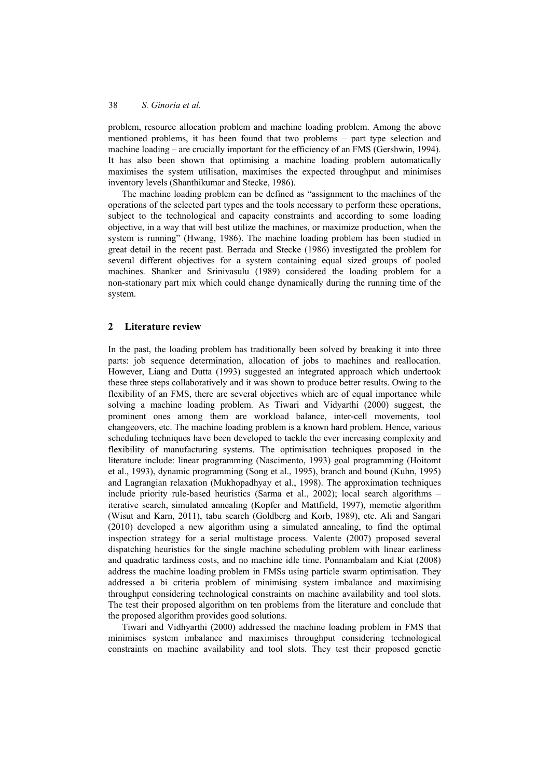problem, resource allocation problem and machine loading problem. Among the above mentioned problems, it has been found that two problems – part type selection and machine loading – are crucially important for the efficiency of an FMS (Gershwin, 1994). It has also been shown that optimising a machine loading problem automatically maximises the system utilisation, maximises the expected throughput and minimises inventory levels (Shanthikumar and Stecke, 1986).

The machine loading problem can be defined as "assignment to the machines of the operations of the selected part types and the tools necessary to perform these operations, subject to the technological and capacity constraints and according to some loading objective, in a way that will best utilize the machines, or maximize production, when the system is running" (Hwang, 1986). The machine loading problem has been studied in great detail in the recent past. Berrada and Stecke (1986) investigated the problem for several different objectives for a system containing equal sized groups of pooled machines. Shanker and Srinivasulu (1989) considered the loading problem for a non-stationary part mix which could change dynamically during the running time of the system.

#### **2 Literature review**

In the past, the loading problem has traditionally been solved by breaking it into three parts: job sequence determination, allocation of jobs to machines and reallocation. However, Liang and Dutta (1993) suggested an integrated approach which undertook these three steps collaboratively and it was shown to produce better results. Owing to the flexibility of an FMS, there are several objectives which are of equal importance while solving a machine loading problem. As Tiwari and Vidyarthi (2000) suggest, the prominent ones among them are workload balance, inter-cell movements, tool changeovers, etc. The machine loading problem is a known hard problem. Hence, various scheduling techniques have been developed to tackle the ever increasing complexity and flexibility of manufacturing systems. The optimisation techniques proposed in the literature include: linear programming (Nascimento, 1993) goal programming (Hoitomt et al., 1993), dynamic programming (Song et al., 1995), branch and bound (Kuhn, 1995) and Lagrangian relaxation (Mukhopadhyay et al., 1998). The approximation techniques include priority rule-based heuristics (Sarma et al., 2002); local search algorithms – iterative search, simulated annealing (Kopfer and Mattfield, 1997), memetic algorithm (Wisut and Karn, 2011), tabu search (Goldberg and Korb, 1989), etc. Ali and Sangari (2010) developed a new algorithm using a simulated annealing, to find the optimal inspection strategy for a serial multistage process. Valente (2007) proposed several dispatching heuristics for the single machine scheduling problem with linear earliness and quadratic tardiness costs, and no machine idle time. Ponnambalam and Kiat (2008) address the machine loading problem in FMSs using particle swarm optimisation. They addressed a bi criteria problem of minimising system imbalance and maximising throughput considering technological constraints on machine availability and tool slots. The test their proposed algorithm on ten problems from the literature and conclude that the proposed algorithm provides good solutions.

Tiwari and Vidhyarthi (2000) addressed the machine loading problem in FMS that minimises system imbalance and maximises throughput considering technological constraints on machine availability and tool slots. They test their proposed genetic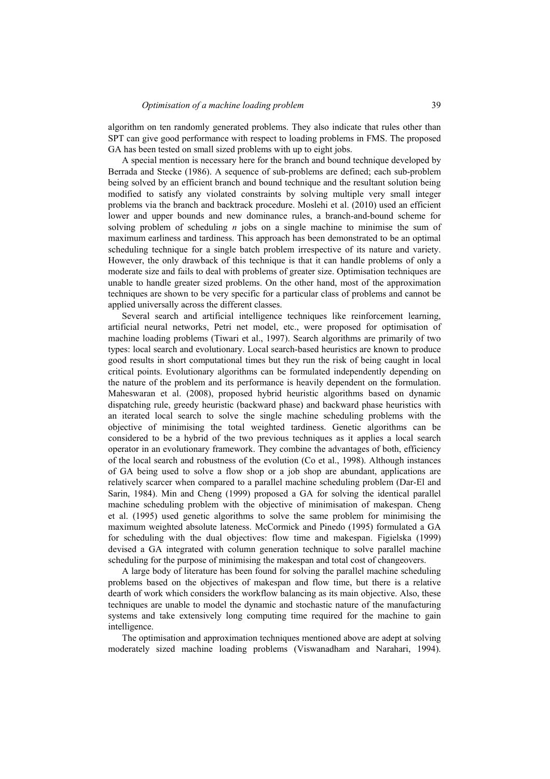algorithm on ten randomly generated problems. They also indicate that rules other than SPT can give good performance with respect to loading problems in FMS. The proposed GA has been tested on small sized problems with up to eight jobs.

A special mention is necessary here for the branch and bound technique developed by Berrada and Stecke (1986). A sequence of sub-problems are defined; each sub-problem being solved by an efficient branch and bound technique and the resultant solution being modified to satisfy any violated constraints by solving multiple very small integer problems via the branch and backtrack procedure. Moslehi et al. (2010) used an efficient lower and upper bounds and new dominance rules, a branch-and-bound scheme for solving problem of scheduling *n* jobs on a single machine to minimise the sum of maximum earliness and tardiness. This approach has been demonstrated to be an optimal scheduling technique for a single batch problem irrespective of its nature and variety. However, the only drawback of this technique is that it can handle problems of only a moderate size and fails to deal with problems of greater size. Optimisation techniques are unable to handle greater sized problems. On the other hand, most of the approximation techniques are shown to be very specific for a particular class of problems and cannot be applied universally across the different classes.

Several search and artificial intelligence techniques like reinforcement learning, artificial neural networks, Petri net model, etc., were proposed for optimisation of machine loading problems (Tiwari et al., 1997). Search algorithms are primarily of two types: local search and evolutionary. Local search-based heuristics are known to produce good results in short computational times but they run the risk of being caught in local critical points. Evolutionary algorithms can be formulated independently depending on the nature of the problem and its performance is heavily dependent on the formulation. Maheswaran et al. (2008), proposed hybrid heuristic algorithms based on dynamic dispatching rule, greedy heuristic (backward phase) and backward phase heuristics with an iterated local search to solve the single machine scheduling problems with the objective of minimising the total weighted tardiness. Genetic algorithms can be considered to be a hybrid of the two previous techniques as it applies a local search operator in an evolutionary framework. They combine the advantages of both, efficiency of the local search and robustness of the evolution (Co et al., 1998). Although instances of GA being used to solve a flow shop or a job shop are abundant, applications are relatively scarcer when compared to a parallel machine scheduling problem (Dar-El and Sarin, 1984). Min and Cheng (1999) proposed a GA for solving the identical parallel machine scheduling problem with the objective of minimisation of makespan. Cheng et al. (1995) used genetic algorithms to solve the same problem for minimising the maximum weighted absolute lateness. McCormick and Pinedo (1995) formulated a GA for scheduling with the dual objectives: flow time and makespan. Figielska (1999) devised a GA integrated with column generation technique to solve parallel machine scheduling for the purpose of minimising the makespan and total cost of changeovers.

A large body of literature has been found for solving the parallel machine scheduling problems based on the objectives of makespan and flow time, but there is a relative dearth of work which considers the workflow balancing as its main objective. Also, these techniques are unable to model the dynamic and stochastic nature of the manufacturing systems and take extensively long computing time required for the machine to gain intelligence.

The optimisation and approximation techniques mentioned above are adept at solving moderately sized machine loading problems (Viswanadham and Narahari, 1994).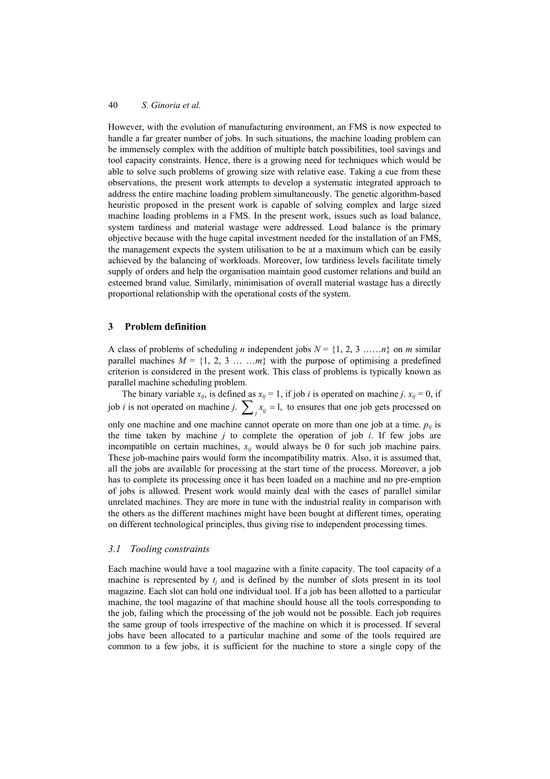However, with the evolution of manufacturing environment, an FMS is now expected to handle a far greater number of jobs. In such situations, the machine loading problem can be immensely complex with the addition of multiple batch possibilities, tool savings and tool capacity constraints. Hence, there is a growing need for techniques which would be able to solve such problems of growing size with relative ease. Taking a cue from these observations, the present work attempts to develop a systematic integrated approach to address the entire machine loading problem simultaneously. The genetic algorithm-based heuristic proposed in the present work is capable of solving complex and large sized machine loading problems in a FMS. In the present work, issues such as load balance, system tardiness and material wastage were addressed. Load balance is the primary objective because with the huge capital investment needed for the installation of an FMS, the management expects the system utilisation to be at a maximum which can be easily achieved by the balancing of workloads. Moreover, low tardiness levels facilitate timely supply of orders and help the organisation maintain good customer relations and build an esteemed brand value. Similarly, minimisation of overall material wastage has a directly proportional relationship with the operational costs of the system.

#### **3 Problem definition**

A class of problems of scheduling *n* independent jobs  $N = \{1, 2, 3, \ldots, n\}$  on *m* similar parallel machines  $M = \{1, 2, 3, \ldots, m\}$  with the purpose of optimising a predefined criterion is considered in the present work. This class of problems is typically known as parallel machine scheduling problem.

The binary variable  $x_{ij}$ , is defined as  $x_{ij} = 1$ , if job *i* is operated on machine *j*.  $x_{ij} = 0$ , if job *i* is not operated on machine *j*.  $\sum_{i} x_{ij} = 1$ , to ensures that one job gets processed on only one machine and one machine cannot operate on more than one job at a time.  $p_{ij}$  is the time taken by machine *j* to complete the operation of job *i*. If few jobs are incompatible on certain machines,  $x_{ij}$  would always be 0 for such job machine pairs. These job-machine pairs would form the incompatibility matrix. Also, it is assumed that, all the jobs are available for processing at the start time of the process. Moreover, a job has to complete its processing once it has been loaded on a machine and no pre-emption of jobs is allowed. Present work would mainly deal with the cases of parallel similar unrelated machines. They are more in tune with the industrial reality in comparison with the others as the different machines might have been bought at different times, operating on different technological principles, thus giving rise to independent processing times.

#### *3.1 Tooling constraints*

Each machine would have a tool magazine with a finite capacity. The tool capacity of a machine is represented by  $t_i$  and is defined by the number of slots present in its tool magazine. Each slot can hold one individual tool. If a job has been allotted to a particular machine, the tool magazine of that machine should house all the tools corresponding to the job, failing which the processing of the job would not be possible. Each job requires the same group of tools irrespective of the machine on which it is processed. If several jobs have been allocated to a particular machine and some of the tools required are common to a few jobs, it is sufficient for the machine to store a single copy of the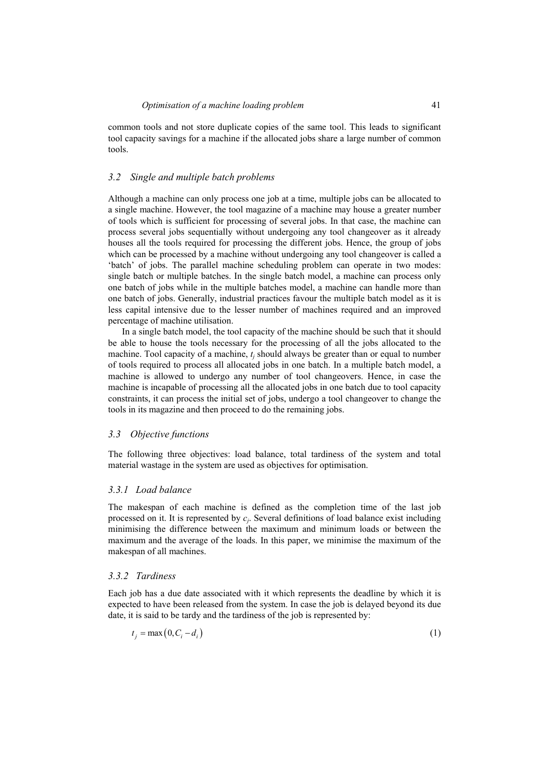common tools and not store duplicate copies of the same tool. This leads to significant tool capacity savings for a machine if the allocated jobs share a large number of common tools.

## *3.2 Single and multiple batch problems*

Although a machine can only process one job at a time, multiple jobs can be allocated to a single machine. However, the tool magazine of a machine may house a greater number of tools which is sufficient for processing of several jobs. In that case, the machine can process several jobs sequentially without undergoing any tool changeover as it already houses all the tools required for processing the different jobs. Hence, the group of jobs which can be processed by a machine without undergoing any tool changeover is called a 'batch' of jobs. The parallel machine scheduling problem can operate in two modes: single batch or multiple batches. In the single batch model, a machine can process only one batch of jobs while in the multiple batches model, a machine can handle more than one batch of jobs. Generally, industrial practices favour the multiple batch model as it is less capital intensive due to the lesser number of machines required and an improved percentage of machine utilisation.

In a single batch model, the tool capacity of the machine should be such that it should be able to house the tools necessary for the processing of all the jobs allocated to the machine. Tool capacity of a machine,  $t_i$  should always be greater than or equal to number of tools required to process all allocated jobs in one batch. In a multiple batch model, a machine is allowed to undergo any number of tool changeovers. Hence, in case the machine is incapable of processing all the allocated jobs in one batch due to tool capacity constraints, it can process the initial set of jobs, undergo a tool changeover to change the tools in its magazine and then proceed to do the remaining jobs.

#### *3.3 Objective functions*

The following three objectives: load balance, total tardiness of the system and total material wastage in the system are used as objectives for optimisation.

#### *3.3.1 Load balance*

The makespan of each machine is defined as the completion time of the last job processed on it. It is represented by *cj*. Several definitions of load balance exist including minimising the difference between the maximum and minimum loads or between the maximum and the average of the loads. In this paper, we minimise the maximum of the makespan of all machines.

#### *3.3.2 Tardiness*

Each job has a due date associated with it which represents the deadline by which it is expected to have been released from the system. In case the job is delayed beyond its due date, it is said to be tardy and the tardiness of the job is represented by:

$$
t_i = \max(0, C_i - d_i) \tag{1}
$$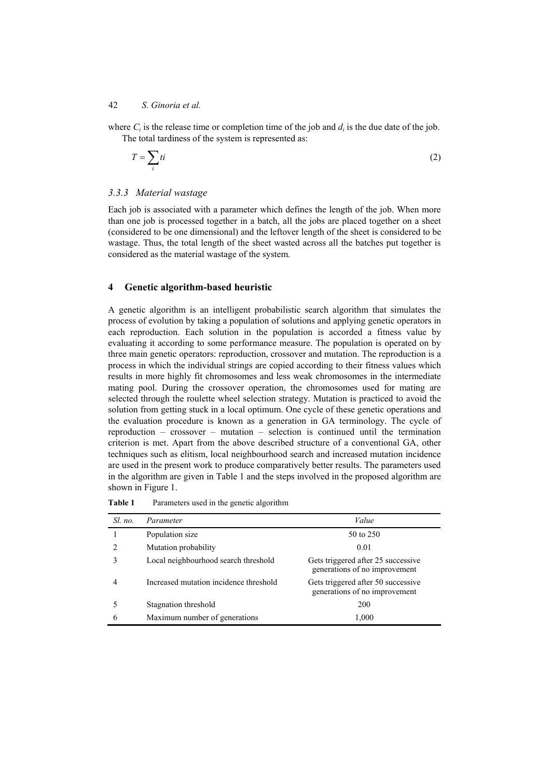where  $C_i$  is the release time or completion time of the job and  $d_i$  is the due date of the job. The total tardiness of the system is represented as:

$$
T = \sum_{i} t i
$$
 (2)

## *3.3.3 Material wastage*

Each job is associated with a parameter which defines the length of the job. When more than one job is processed together in a batch, all the jobs are placed together on a sheet (considered to be one dimensional) and the leftover length of the sheet is considered to be wastage. Thus, the total length of the sheet wasted across all the batches put together is considered as the material wastage of the system.

## **4 Genetic algorithm-based heuristic**

A genetic algorithm is an intelligent probabilistic search algorithm that simulates the process of evolution by taking a population of solutions and applying genetic operators in each reproduction. Each solution in the population is accorded a fitness value by evaluating it according to some performance measure. The population is operated on by three main genetic operators: reproduction, crossover and mutation. The reproduction is a process in which the individual strings are copied according to their fitness values which results in more highly fit chromosomes and less weak chromosomes in the intermediate mating pool. During the crossover operation, the chromosomes used for mating are selected through the roulette wheel selection strategy. Mutation is practiced to avoid the solution from getting stuck in a local optimum. One cycle of these genetic operations and the evaluation procedure is known as a generation in GA terminology. The cycle of reproduction – crossover – mutation – selection is continued until the termination criterion is met. Apart from the above described structure of a conventional GA, other techniques such as elitism, local neighbourhood search and increased mutation incidence are used in the present work to produce comparatively better results. The parameters used in the algorithm are given in Table 1 and the steps involved in the proposed algorithm are shown in Figure 1.

| Sl. no. | Parameter                              | Value                                                               |
|---------|----------------------------------------|---------------------------------------------------------------------|
|         | Population size                        | 50 to 250                                                           |
|         | Mutation probability                   | 0.01                                                                |
|         | Local neighbourhood search threshold   | Gets triggered after 25 successive<br>generations of no improvement |
| 4       | Increased mutation incidence threshold | Gets triggered after 50 successive<br>generations of no improvement |
|         | Stagnation threshold                   | 200                                                                 |
| 6       | Maximum number of generations          | 1,000                                                               |

**Table 1** Parameters used in the genetic algorithm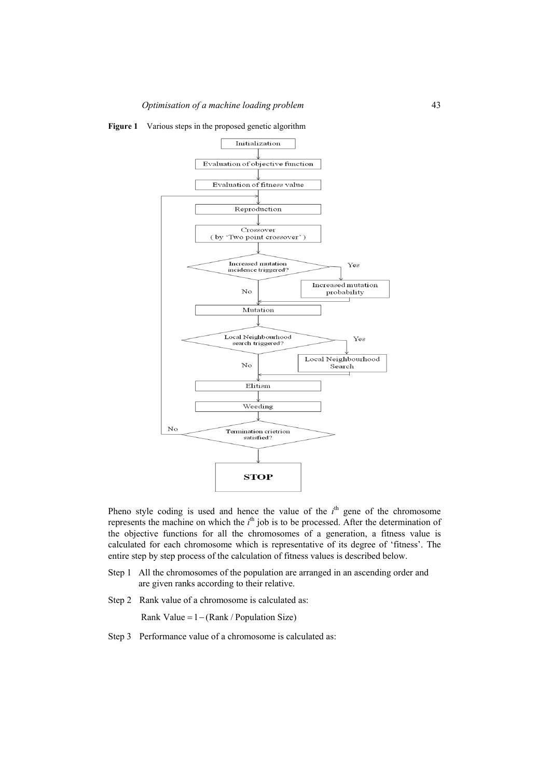

**Figure 1** Various steps in the proposed genetic algorithm

Pheno style coding is used and hence the value of the  $i<sup>th</sup>$  gene of the chromosome represents the machine on which the  $i<sup>th</sup>$  job is to be processed. After the determination of the objective functions for all the chromosomes of a generation, a fitness value is calculated for each chromosome which is representative of its degree of 'fitness'. The entire step by step process of the calculation of fitness values is described below.

- Step 1 All the chromosomes of the population are arranged in an ascending order and are given ranks according to their relative.
- Step 2 Rank value of a chromosome is calculated as:

Rank Value =  $1 - (Rank / Population Size)$ 

Step 3 Performance value of a chromosome is calculated as: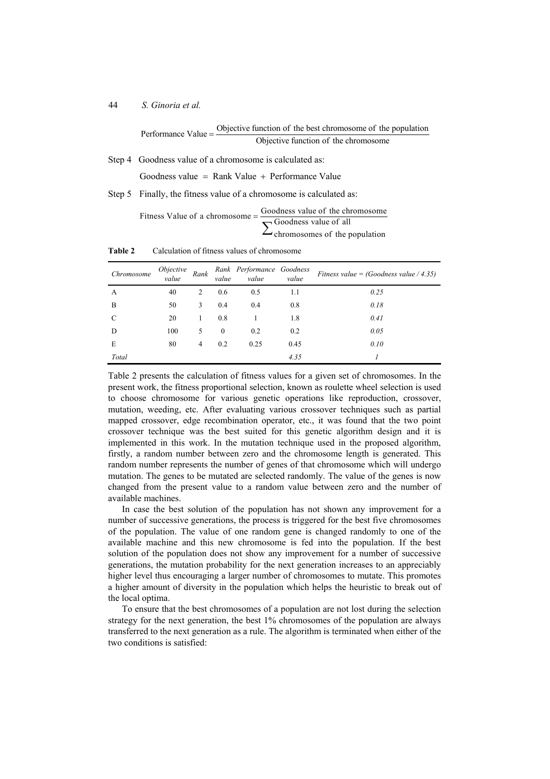Performance Value  $=$  Objective function of the best chromosome of the population Objective function of the chromosome

Step 4 Goodness value of a chromosome is calculated as:

Goodness value =  $Rank Value + Performance Value$ 

Step 5 Finally, the fitness value of a chromosome is calculated as:

| Fitness Value of a chromosome $=$ $\frac{80}{3}$ | Goodness value of the chromosome       |
|--------------------------------------------------|----------------------------------------|
|                                                  | $\sum$ Goodness value of all           |
|                                                  | $\angle$ chromosomes of the population |

**Table 2** Calculation of fitness values of chromosome

| Chromosome    | <i>Objective</i><br>value | Rank           | value    | Rank Performance Goodness<br>value | value | Fitness value = (Goodness value / 4.35) |
|---------------|---------------------------|----------------|----------|------------------------------------|-------|-----------------------------------------|
| A             | 40                        | 2              | 0.6      | 0.5                                | 1.1   | 0.25                                    |
| B             | 50                        | 3              | 0.4      | 0.4                                | 0.8   | 0.18                                    |
| $\mathcal{C}$ | 20                        |                | 0.8      |                                    | 1.8   | 0.41                                    |
| D             | 100                       | 5              | $\theta$ | 0.2                                | 0.2   | 0.05                                    |
| E             | 80                        | $\overline{4}$ | 0.2      | 0.25                               | 0.45  | 0.10                                    |
| Total         |                           |                |          |                                    | 4.35  |                                         |

Table 2 presents the calculation of fitness values for a given set of chromosomes. In the present work, the fitness proportional selection, known as roulette wheel selection is used to choose chromosome for various genetic operations like reproduction, crossover, mutation, weeding, etc. After evaluating various crossover techniques such as partial mapped crossover, edge recombination operator, etc., it was found that the two point crossover technique was the best suited for this genetic algorithm design and it is implemented in this work. In the mutation technique used in the proposed algorithm, firstly, a random number between zero and the chromosome length is generated. This random number represents the number of genes of that chromosome which will undergo mutation. The genes to be mutated are selected randomly. The value of the genes is now changed from the present value to a random value between zero and the number of available machines.

In case the best solution of the population has not shown any improvement for a number of successive generations, the process is triggered for the best five chromosomes of the population. The value of one random gene is changed randomly to one of the available machine and this new chromosome is fed into the population. If the best solution of the population does not show any improvement for a number of successive generations, the mutation probability for the next generation increases to an appreciably higher level thus encouraging a larger number of chromosomes to mutate. This promotes a higher amount of diversity in the population which helps the heuristic to break out of the local optima.

To ensure that the best chromosomes of a population are not lost during the selection strategy for the next generation, the best 1% chromosomes of the population are always transferred to the next generation as a rule. The algorithm is terminated when either of the two conditions is satisfied: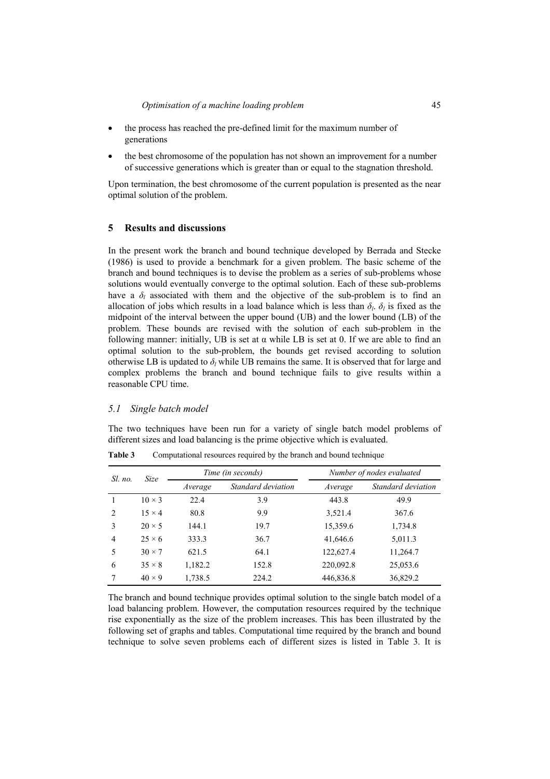- the process has reached the pre-defined limit for the maximum number of generations
- the best chromosome of the population has not shown an improvement for a number of successive generations which is greater than or equal to the stagnation threshold.

Upon termination, the best chromosome of the current population is presented as the near optimal solution of the problem.

#### **5 Results and discussions**

In the present work the branch and bound technique developed by Berrada and Stecke (1986) is used to provide a benchmark for a given problem. The basic scheme of the branch and bound techniques is to devise the problem as a series of sub-problems whose solutions would eventually converge to the optimal solution. Each of these sub-problems have a  $\delta_l$  associated with them and the objective of the sub-problem is to find an allocation of jobs which results in a load balance which is less than  $\delta_l$ .  $\delta_l$  is fixed as the midpoint of the interval between the upper bound (UB) and the lower bound (LB) of the problem. These bounds are revised with the solution of each sub-problem in the following manner: initially, UB is set at  $\alpha$  while LB is set at 0. If we are able to find an optimal solution to the sub-problem, the bounds get revised according to solution otherwise LB is updated to  $\delta_l$  while UB remains the same. It is observed that for large and complex problems the branch and bound technique fails to give results within a reasonable CPU time.

#### *5.1 Single batch model*

The two techniques have been run for a variety of single batch model problems of different sizes and load balancing is the prime objective which is evaluated.

| Sl. no.        | Size          | Time (in seconds) |                    | Number of nodes evaluated |                    |
|----------------|---------------|-------------------|--------------------|---------------------------|--------------------|
|                |               | Average           | Standard deviation | Average                   | Standard deviation |
|                | $10 \times 3$ | 22.4              | 3.9                | 443.8                     | 49.9               |
| $\mathfrak{D}$ | $15 \times 4$ | 80.8              | 9.9                | 3,521.4                   | 367.6              |
| 3              | $20 \times 5$ | 144.1             | 19.7               | 15,359.6                  | 1,734.8            |
| $\overline{4}$ | $25 \times 6$ | 333.3             | 36.7               | 41,646.6                  | 5,011.3            |
| 5              | $30 \times 7$ | 621.5             | 64.1               | 122,627.4                 | 11,264.7           |
| 6              | $35 \times 8$ | 1,182.2           | 152.8              | 220,092.8                 | 25,053.6           |
|                | $40 \times 9$ | 1,738.5           | 224.2              | 446,836.8                 | 36,829.2           |

Table 3 Computational resources required by the branch and bound technique

The branch and bound technique provides optimal solution to the single batch model of a load balancing problem. However, the computation resources required by the technique rise exponentially as the size of the problem increases. This has been illustrated by the following set of graphs and tables. Computational time required by the branch and bound technique to solve seven problems each of different sizes is listed in Table 3. It is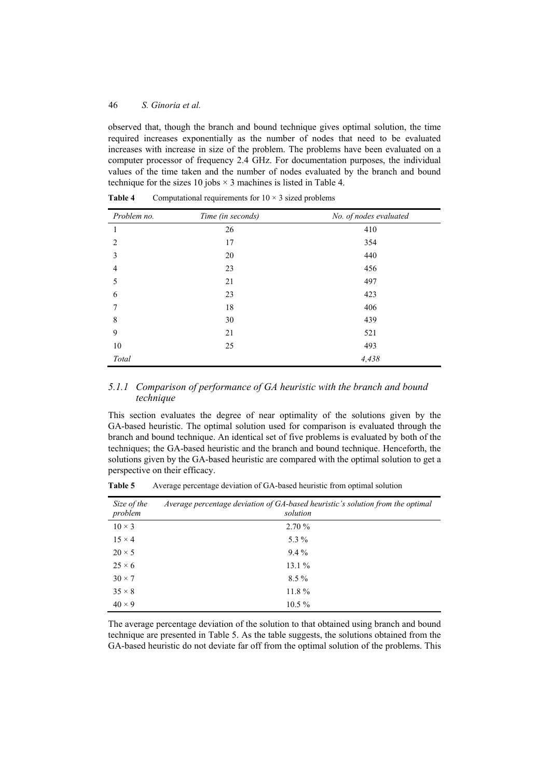observed that, though the branch and bound technique gives optimal solution, the time required increases exponentially as the number of nodes that need to be evaluated increases with increase in size of the problem. The problems have been evaluated on a computer processor of frequency 2.4 GHz. For documentation purposes, the individual values of the time taken and the number of nodes evaluated by the branch and bound technique for the sizes 10 jobs  $\times$  3 machines is listed in Table 4.

| Problem no.    | Time (in seconds) | No. of nodes evaluated |
|----------------|-------------------|------------------------|
| 1              | 26                | 410                    |
| 2              | 17                | 354                    |
| 3              | 20                | 440                    |
| $\overline{4}$ | 23                | 456                    |
| 5              | 21                | 497                    |
| 6              | 23                | 423                    |
| 7              | 18                | 406                    |
| 8              | 30                | 439                    |
| 9              | 21                | 521                    |
| 10             | 25                | 493                    |
| Total          |                   | 4,438                  |

**Table 4** Computational requirements for  $10 \times 3$  sized problems

## *5.1.1 Comparison of performance of GA heuristic with the branch and bound technique*

This section evaluates the degree of near optimality of the solutions given by the GA-based heuristic. The optimal solution used for comparison is evaluated through the branch and bound technique. An identical set of five problems is evaluated by both of the techniques; the GA-based heuristic and the branch and bound technique. Henceforth, the solutions given by the GA-based heuristic are compared with the optimal solution to get a perspective on their efficacy.

| Size of the<br>problem | Average percentage deviation of GA-based heuristic's solution from the optimal<br>solution |
|------------------------|--------------------------------------------------------------------------------------------|
| $10 \times 3$          | 2.70%                                                                                      |
| $15 \times 4$          | 5.3 %                                                                                      |
| $20 \times 5$          | $9.4\%$                                                                                    |
| $25 \times 6$          | 13.1%                                                                                      |
| $30 \times 7$          | $8.5\%$                                                                                    |
| $35 \times 8$          | 11.8%                                                                                      |
| $40 \times 9$          | $10.5\%$                                                                                   |

**Table 5** Average percentage deviation of GA-based heuristic from optimal solution

The average percentage deviation of the solution to that obtained using branch and bound technique are presented in Table 5. As the table suggests, the solutions obtained from the GA-based heuristic do not deviate far off from the optimal solution of the problems. This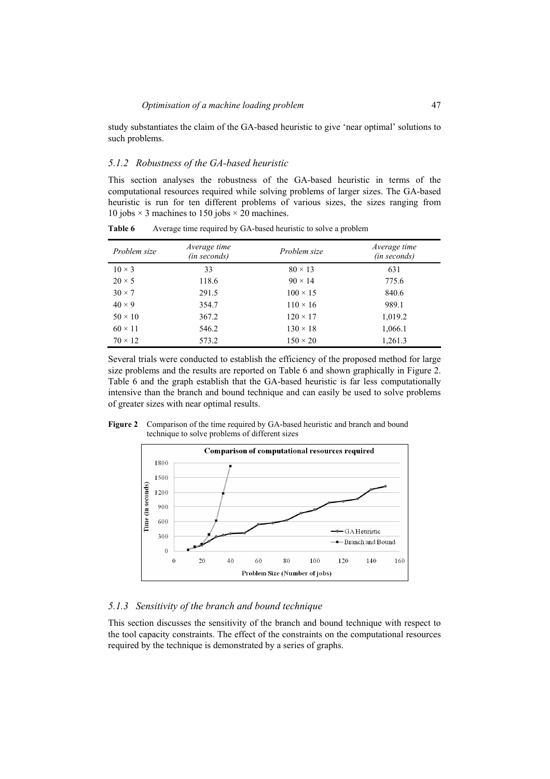study substantiates the claim of the GA-based heuristic to give 'near optimal' solutions to such problems.

#### *5.1.2 Robustness of the GA-based heuristic*

This section analyses the robustness of the GA-based heuristic in terms of the computational resources required while solving problems of larger sizes. The GA-based heuristic is run for ten different problems of various sizes, the sizes ranging from 10 jobs  $\times$  3 machines to 150 jobs  $\times$  20 machines.

| Problem size   | Average time<br>(in seconds) | Problem size    | Average time<br>(in seconds) |
|----------------|------------------------------|-----------------|------------------------------|
| $10 \times 3$  | 33                           | $80 \times 13$  | 631                          |
| $20 \times 5$  | 118.6                        | $90 \times 14$  | 775.6                        |
| $30 \times 7$  | 291.5                        | $100 \times 15$ | 840.6                        |
| $40 \times 9$  | 354.7                        | $110 \times 16$ | 989.1                        |
| $50 \times 10$ | 367.2                        | $120 \times 17$ | 1,019.2                      |
| $60 \times 11$ | 546.2                        | $130 \times 18$ | 1,066.1                      |
| $70 \times 12$ | 573.2                        | $150 \times 20$ | 1,261.3                      |

**Table 6** Average time required by GA-based heuristic to solve a problem

Several trials were conducted to establish the efficiency of the proposed method for large size problems and the results are reported on Table 6 and shown graphically in Figure 2. Table 6 and the graph establish that the GA-based heuristic is far less computationally intensive than the branch and bound technique and can easily be used to solve problems of greater sizes with near optimal results.



**Figure 2** Comparison of the time required by GA-based heuristic and branch and bound technique to solve problems of different sizes

#### *5.1.3 Sensitivity of the branch and bound technique*

This section discusses the sensitivity of the branch and bound technique with respect to the tool capacity constraints. The effect of the constraints on the computational resources required by the technique is demonstrated by a series of graphs.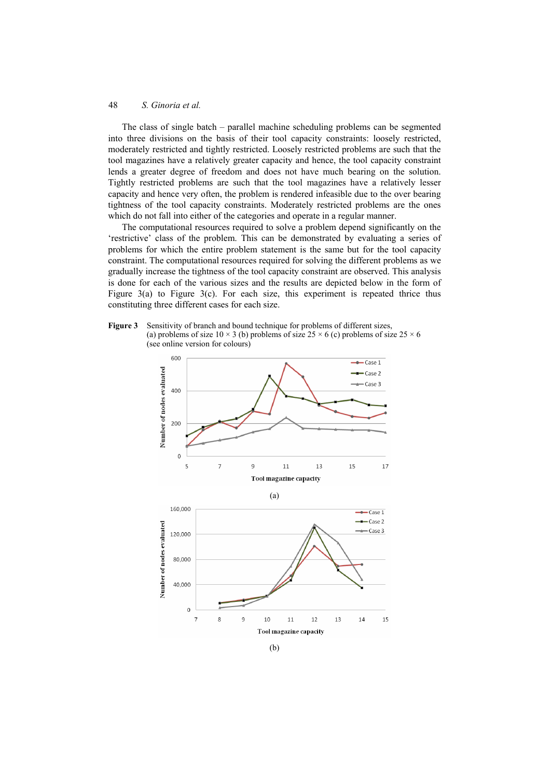The class of single batch – parallel machine scheduling problems can be segmented into three divisions on the basis of their tool capacity constraints: loosely restricted, moderately restricted and tightly restricted. Loosely restricted problems are such that the tool magazines have a relatively greater capacity and hence, the tool capacity constraint lends a greater degree of freedom and does not have much bearing on the solution. Tightly restricted problems are such that the tool magazines have a relatively lesser capacity and hence very often, the problem is rendered infeasible due to the over bearing tightness of the tool capacity constraints. Moderately restricted problems are the ones which do not fall into either of the categories and operate in a regular manner.

The computational resources required to solve a problem depend significantly on the 'restrictive' class of the problem. This can be demonstrated by evaluating a series of problems for which the entire problem statement is the same but for the tool capacity constraint. The computational resources required for solving the different problems as we gradually increase the tightness of the tool capacity constraint are observed. This analysis is done for each of the various sizes and the results are depicted below in the form of Figure 3(a) to Figure 3(c). For each size, this experiment is repeated thrice thus constituting three different cases for each size.

**Figure 3** Sensitivity of branch and bound technique for problems of different sizes, (a) problems of size  $10 \times 3$  (b) problems of size  $25 \times 6$  (c) problems of size  $25 \times 6$ (see online version for colours)



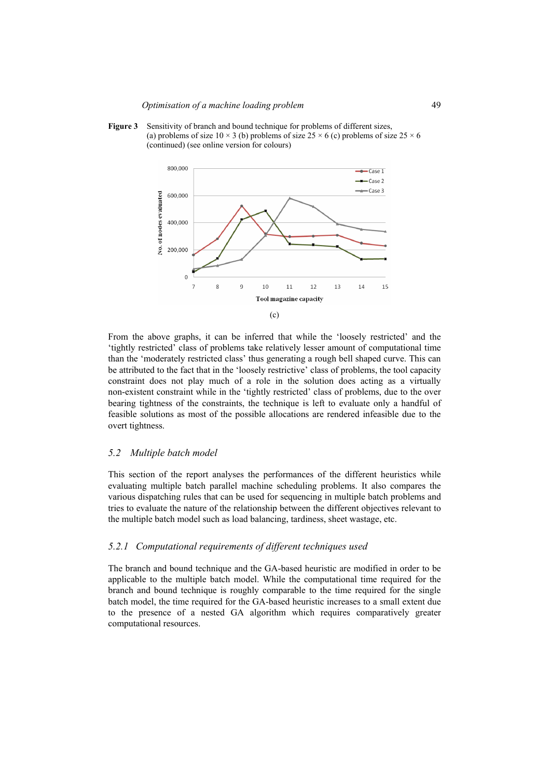

**Figure 3** Sensitivity of branch and bound technique for problems of different sizes, (a) problems of size  $10 \times 3$  (b) problems of size  $25 \times 6$  (c) problems of size  $25 \times 6$ (continued) (see online version for colours)

From the above graphs, it can be inferred that while the 'loosely restricted' and the 'tightly restricted' class of problems take relatively lesser amount of computational time than the 'moderately restricted class' thus generating a rough bell shaped curve. This can be attributed to the fact that in the 'loosely restrictive' class of problems, the tool capacity constraint does not play much of a role in the solution does acting as a virtually non-existent constraint while in the 'tightly restricted' class of problems, due to the over bearing tightness of the constraints, the technique is left to evaluate only a handful of feasible solutions as most of the possible allocations are rendered infeasible due to the overt tightness.

#### *5.2 Multiple batch model*

This section of the report analyses the performances of the different heuristics while evaluating multiple batch parallel machine scheduling problems. It also compares the various dispatching rules that can be used for sequencing in multiple batch problems and tries to evaluate the nature of the relationship between the different objectives relevant to the multiple batch model such as load balancing, tardiness, sheet wastage, etc.

#### *5.2.1 Computational requirements of different techniques used*

The branch and bound technique and the GA-based heuristic are modified in order to be applicable to the multiple batch model. While the computational time required for the branch and bound technique is roughly comparable to the time required for the single batch model, the time required for the GA-based heuristic increases to a small extent due to the presence of a nested GA algorithm which requires comparatively greater computational resources.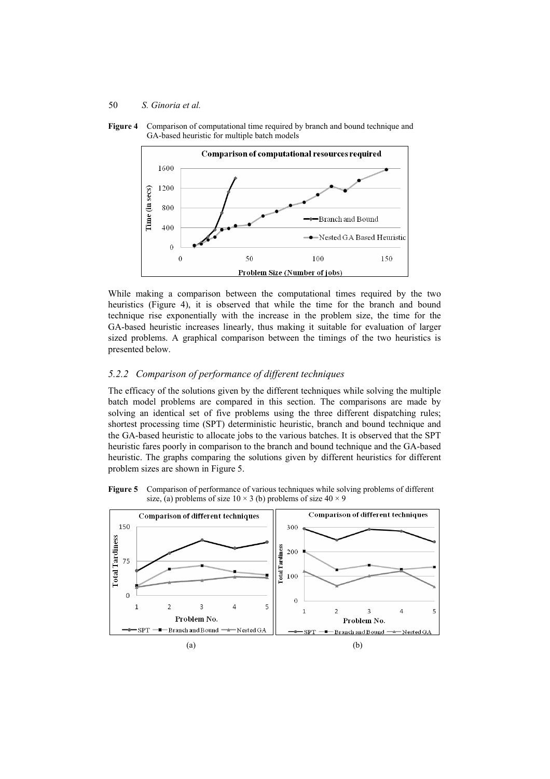

**Figure 4** Comparison of computational time required by branch and bound technique and GA-based heuristic for multiple batch models

While making a comparison between the computational times required by the two heuristics (Figure 4), it is observed that while the time for the branch and bound technique rise exponentially with the increase in the problem size, the time for the GA-based heuristic increases linearly, thus making it suitable for evaluation of larger sized problems. A graphical comparison between the timings of the two heuristics is presented below.

## *5.2.2 Comparison of performance of different techniques*

The efficacy of the solutions given by the different techniques while solving the multiple batch model problems are compared in this section. The comparisons are made by solving an identical set of five problems using the three different dispatching rules; shortest processing time (SPT) deterministic heuristic, branch and bound technique and the GA-based heuristic to allocate jobs to the various batches. It is observed that the SPT heuristic fares poorly in comparison to the branch and bound technique and the GA-based heuristic. The graphs comparing the solutions given by different heuristics for different problem sizes are shown in Figure 5.

**Figure 5** Comparison of performance of various techniques while solving problems of different size, (a) problems of size  $10 \times 3$  (b) problems of size  $40 \times 9$ 

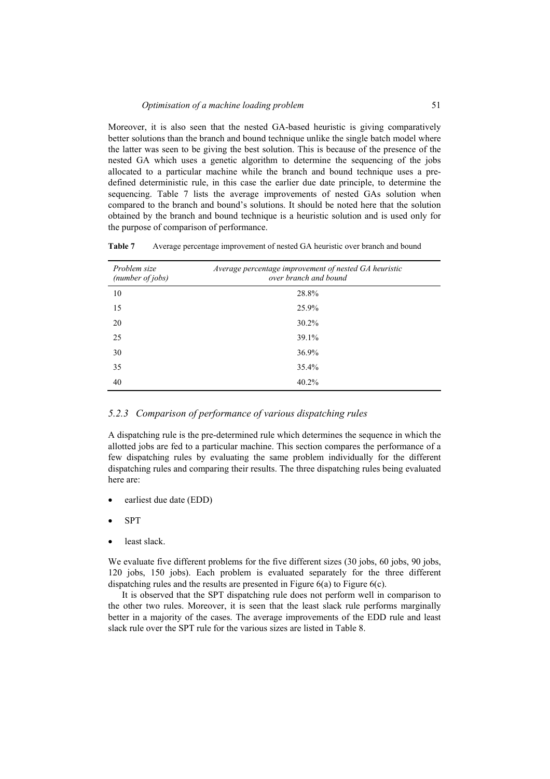Moreover, it is also seen that the nested GA-based heuristic is giving comparatively better solutions than the branch and bound technique unlike the single batch model where the latter was seen to be giving the best solution. This is because of the presence of the nested GA which uses a genetic algorithm to determine the sequencing of the jobs allocated to a particular machine while the branch and bound technique uses a predefined deterministic rule, in this case the earlier due date principle, to determine the sequencing. Table 7 lists the average improvements of nested GAs solution when compared to the branch and bound's solutions. It should be noted here that the solution obtained by the branch and bound technique is a heuristic solution and is used only for the purpose of comparison of performance.

**Table 7** Average percentage improvement of nested GA heuristic over branch and bound

| Problem size<br>(number of jobs) | Average percentage improvement of nested GA heuristic<br>over branch and bound |
|----------------------------------|--------------------------------------------------------------------------------|
| 10                               | 28.8%                                                                          |
| 15                               | 25.9%                                                                          |
| 20                               | 30.2%                                                                          |
| 25                               | 39.1%                                                                          |
| 30                               | 36.9%                                                                          |
| 35                               | 35.4%                                                                          |
| 40                               | 40.2%                                                                          |

#### *5.2.3 Comparison of performance of various dispatching rules*

A dispatching rule is the pre-determined rule which determines the sequence in which the allotted jobs are fed to a particular machine. This section compares the performance of a few dispatching rules by evaluating the same problem individually for the different dispatching rules and comparing their results. The three dispatching rules being evaluated here are:

- earliest due date (EDD)
- SPT
- least slack.

We evaluate five different problems for the five different sizes (30 jobs, 60 jobs, 90 jobs, 120 jobs, 150 jobs). Each problem is evaluated separately for the three different dispatching rules and the results are presented in Figure 6(a) to Figure 6(c).

It is observed that the SPT dispatching rule does not perform well in comparison to the other two rules. Moreover, it is seen that the least slack rule performs marginally better in a majority of the cases. The average improvements of the EDD rule and least slack rule over the SPT rule for the various sizes are listed in Table 8.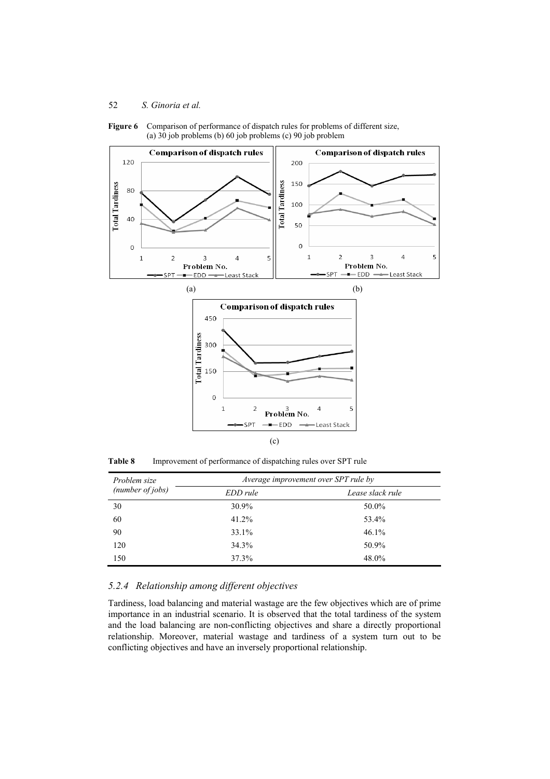

**Figure 6** Comparison of performance of dispatch rules for problems of different size, (a)  $3\dot{0}$  job problems (b) 60 job problems (c) 90 job problem

**Table 8** Improvement of performance of dispatching rules over SPT rule

| Problem size     | Average improvement over SPT rule by |                  |  |
|------------------|--------------------------------------|------------------|--|
| (number of jobs) | EDD rule                             | Lease slack rule |  |
| 30               | 30.9%                                | 50.0%            |  |
| 60               | 41.2%                                | 53.4%            |  |
| 90               | 33.1%                                | 46.1%            |  |
| 120              | 34.3%                                | 50.9%            |  |
| 150              | 37.3%                                | 48.0%            |  |

## *5.2.4 Relationship among different objectives*

Tardiness, load balancing and material wastage are the few objectives which are of prime importance in an industrial scenario. It is observed that the total tardiness of the system and the load balancing are non-conflicting objectives and share a directly proportional relationship. Moreover, material wastage and tardiness of a system turn out to be conflicting objectives and have an inversely proportional relationship.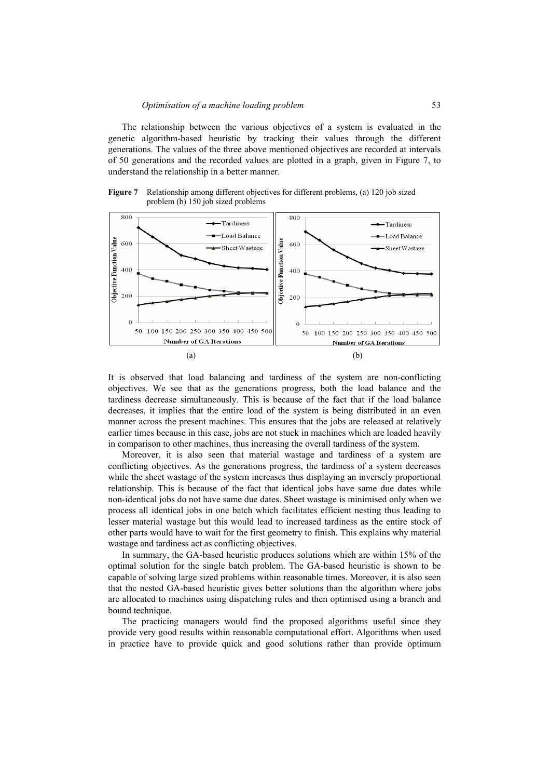The relationship between the various objectives of a system is evaluated in the genetic algorithm-based heuristic by tracking their values through the different generations. The values of the three above mentioned objectives are recorded at intervals of 50 generations and the recorded values are plotted in a graph, given in Figure 7, to understand the relationship in a better manner.

**Figure 7** Relationship among different objectives for different problems, (a) 120 job sized problem (b) 150 job sized problems



It is observed that load balancing and tardiness of the system are non-conflicting objectives. We see that as the generations progress, both the load balance and the tardiness decrease simultaneously. This is because of the fact that if the load balance decreases, it implies that the entire load of the system is being distributed in an even manner across the present machines. This ensures that the jobs are released at relatively earlier times because in this case, jobs are not stuck in machines which are loaded heavily in comparison to other machines, thus increasing the overall tardiness of the system.

Moreover, it is also seen that material wastage and tardiness of a system are conflicting objectives. As the generations progress, the tardiness of a system decreases while the sheet wastage of the system increases thus displaying an inversely proportional relationship. This is because of the fact that identical jobs have same due dates while non-identical jobs do not have same due dates. Sheet wastage is minimised only when we process all identical jobs in one batch which facilitates efficient nesting thus leading to lesser material wastage but this would lead to increased tardiness as the entire stock of other parts would have to wait for the first geometry to finish. This explains why material wastage and tardiness act as conflicting objectives.

In summary, the GA-based heuristic produces solutions which are within 15% of the optimal solution for the single batch problem. The GA-based heuristic is shown to be capable of solving large sized problems within reasonable times. Moreover, it is also seen that the nested GA-based heuristic gives better solutions than the algorithm where jobs are allocated to machines using dispatching rules and then optimised using a branch and bound technique.

The practicing managers would find the proposed algorithms useful since they provide very good results within reasonable computational effort. Algorithms when used in practice have to provide quick and good solutions rather than provide optimum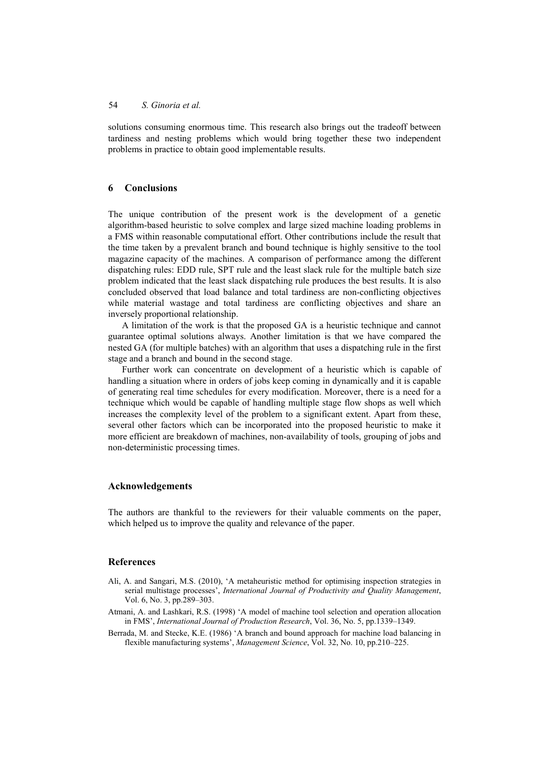solutions consuming enormous time. This research also brings out the tradeoff between tardiness and nesting problems which would bring together these two independent problems in practice to obtain good implementable results.

## **6 Conclusions**

The unique contribution of the present work is the development of a genetic algorithm-based heuristic to solve complex and large sized machine loading problems in a FMS within reasonable computational effort. Other contributions include the result that the time taken by a prevalent branch and bound technique is highly sensitive to the tool magazine capacity of the machines. A comparison of performance among the different dispatching rules: EDD rule, SPT rule and the least slack rule for the multiple batch size problem indicated that the least slack dispatching rule produces the best results. It is also concluded observed that load balance and total tardiness are non-conflicting objectives while material wastage and total tardiness are conflicting objectives and share an inversely proportional relationship.

A limitation of the work is that the proposed GA is a heuristic technique and cannot guarantee optimal solutions always. Another limitation is that we have compared the nested GA (for multiple batches) with an algorithm that uses a dispatching rule in the first stage and a branch and bound in the second stage.

Further work can concentrate on development of a heuristic which is capable of handling a situation where in orders of jobs keep coming in dynamically and it is capable of generating real time schedules for every modification. Moreover, there is a need for a technique which would be capable of handling multiple stage flow shops as well which increases the complexity level of the problem to a significant extent. Apart from these, several other factors which can be incorporated into the proposed heuristic to make it more efficient are breakdown of machines, non-availability of tools, grouping of jobs and non-deterministic processing times.

#### **Acknowledgements**

The authors are thankful to the reviewers for their valuable comments on the paper, which helped us to improve the quality and relevance of the paper.

#### **References**

- Ali, A. and Sangari, M.S. (2010), 'A metaheuristic method for optimising inspection strategies in serial multistage processes', *International Journal of Productivity and Quality Management*, Vol. 6, No. 3, pp.289–303.
- Atmani, A. and Lashkari, R.S. (1998) 'A model of machine tool selection and operation allocation in FMS', *International Journal of Production Research*, Vol. 36, No. 5, pp.1339–1349.
- Berrada, M. and Stecke, K.E. (1986) 'A branch and bound approach for machine load balancing in flexible manufacturing systems', *Management Science*, Vol. 32, No. 10, pp.210–225.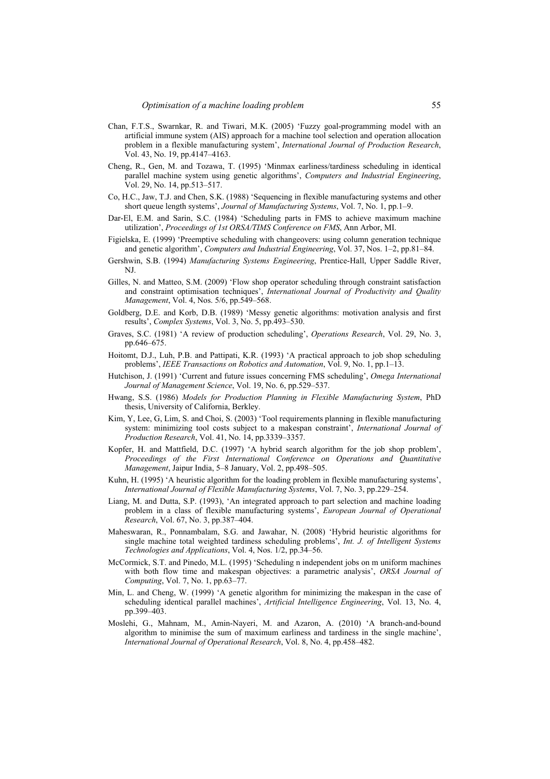- Chan, F.T.S., Swarnkar, R. and Tiwari, M.K. (2005) 'Fuzzy goal-programming model with an artificial immune system (AIS) approach for a machine tool selection and operation allocation problem in a flexible manufacturing system', *International Journal of Production Research*, Vol. 43, No. 19, pp.4147–4163.
- Cheng, R., Gen, M. and Tozawa, T. (1995) 'Minmax earliness/tardiness scheduling in identical parallel machine system using genetic algorithms', *Computers and Industrial Engineering*, Vol. 29, No. 14, pp.513–517.
- Co, H.C., Jaw, T.J. and Chen, S.K. (1988) 'Sequencing in flexible manufacturing systems and other short queue length systems', *Journal of Manufacturing Systems*, Vol. 7, No. 1, pp.1–9.
- Dar-El, E.M. and Sarin, S.C. (1984) 'Scheduling parts in FMS to achieve maximum machine utilization', *Proceedings of 1st ORSA/TIMS Conference on FMS*, Ann Arbor, MI.
- Figielska, E. (1999) 'Preemptive scheduling with changeovers: using column generation technique and genetic algorithm', *Computers and Industrial Engineering*, Vol. 37, Nos. 1–2, pp.81–84.
- Gershwin, S.B. (1994) *Manufacturing Systems Engineering*, Prentice-Hall, Upper Saddle River, NJ.
- Gilles, N. and Matteo, S.M. (2009) 'Flow shop operator scheduling through constraint satisfaction and constraint optimisation techniques', *International Journal of Productivity and Quality Management*, Vol. 4, Nos. 5/6, pp.549–568.
- Goldberg, D.E. and Korb, D.B. (1989) 'Messy genetic algorithms: motivation analysis and first results', *Complex Systems*, Vol. 3, No. 5, pp.493–530.
- Graves, S.C. (1981) 'A review of production scheduling', *Operations Research*, Vol. 29, No. 3, pp.646–675.
- Hoitomt, D.J., Luh, P.B. and Pattipati, K.R. (1993) 'A practical approach to job shop scheduling problems', *IEEE Transactions on Robotics and Automation*, Vol. 9, No. 1, pp.1–13.
- Hutchison, J. (1991) 'Current and future issues concerning FMS scheduling', *Omega International Journal of Management Science*, Vol. 19, No. 6, pp.529–537.
- Hwang, S.S. (1986) *Models for Production Planning in Flexible Manufacturing System*, PhD thesis, University of California, Berkley.
- Kim, Y, Lee, G, Lim, S. and Choi, S. (2003) 'Tool requirements planning in flexible manufacturing system: minimizing tool costs subject to a makespan constraint', *International Journal of Production Research*, Vol. 41, No. 14, pp.3339–3357.
- Kopfer, H. and Mattfield, D.C. (1997) 'A hybrid search algorithm for the job shop problem', Proceedings of the First International Conference on Operations and Quantitative *Management*, Jaipur India, 5–8 January, Vol. 2, pp.498–505.
- Kuhn, H. (1995) 'A heuristic algorithm for the loading problem in flexible manufacturing systems', *International Journal of Flexible Manufacturing Systems*, Vol. 7, No. 3, pp.229–254.
- Liang, M. and Dutta, S.P. (1993), 'An integrated approach to part selection and machine loading problem in a class of flexible manufacturing systems', *European Journal of Operational Research*, Vol. 67, No. 3, pp.387–404.
- Maheswaran, R., Ponnambalam, S.G. and Jawahar, N. (2008) 'Hybrid heuristic algorithms for single machine total weighted tardiness scheduling problems', *Int. J. of Intelligent Systems Technologies and Applications*, Vol. 4, Nos. 1/2, pp.34–56.
- McCormick, S.T. and Pinedo, M.L. (1995) 'Scheduling n independent jobs on m uniform machines with both flow time and makespan objectives: a parametric analysis', *ORSA Journal of Computing*, Vol. 7, No. 1, pp.63–77.
- Min, L. and Cheng, W. (1999) 'A genetic algorithm for minimizing the makespan in the case of scheduling identical parallel machines', *Artificial Intelligence Engineering*, Vol. 13, No. 4, pp.399–403.
- Moslehi, G., Mahnam, M., Amin-Nayeri, M. and Azaron, A. (2010) 'A branch-and-bound algorithm to minimise the sum of maximum earliness and tardiness in the single machine', *International Journal of Operational Research*, Vol. 8, No. 4, pp.458–482.